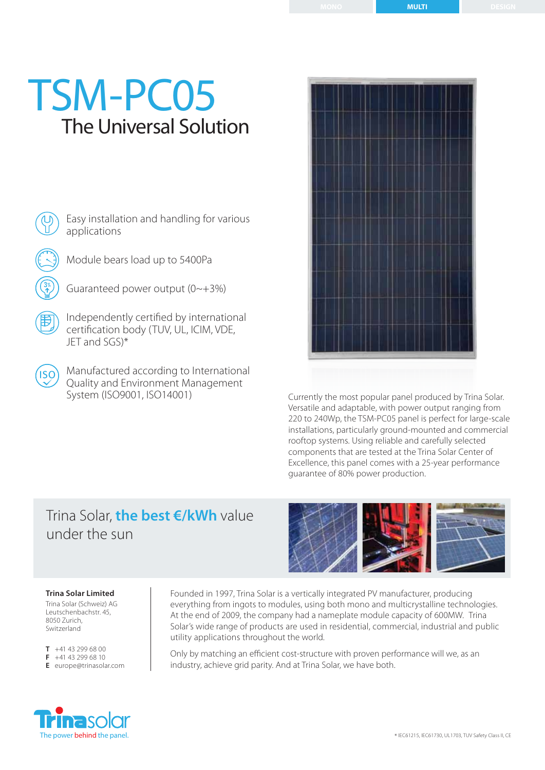# The Universal Solution TSM-PC05

Easy installation and handling for various applications

Module bears load up to 5400Pa

Guaranteed power output (0~+3%)

Independently certified by international certification body (TUV, UL, ICIM, VDE, JET and SGS)\*

Manufactured according to International Quality and Environment Management System (ISO9001, ISO14001)

Currently the most popular panel produced by Trina Solar. Versatile and adaptable, with power output ranging from 220 to 240Wp, the TSM-PC05 panel is perfect for large-scale installations, particularly ground-mounted and commercial rooftop systems. Using reliable and carefully selected components that are tested at the Trina Solar Center of Excellence, this panel comes with a 25-year performance guarantee of 80% power production.

## Trina Solar, **the best €/kWh** value under the sun

Founded in 1997, Trina Solar is a vertically integrated PV manufacturer, producing everything from ingots to modules, using both mono and multicrystalline technologies. At the end of 2009, the company had a nameplate module capacity of 600MW. Trina Solar's wide range of products are used in residential, commercial, industrial and public utility applications throughout the world.

Only by matching an efficient cost-structure with proven performance will we, as an industry, achieve grid parity. And at Trina Solar, we have both.



Trina Solar (Schweiz) AG Leutschenbachstr. 45, 8050 Zurich, Switzerland

**T** +41 43 299 68 00 **F** +41 43 299 68 10 **E** europe@trinasolar.com